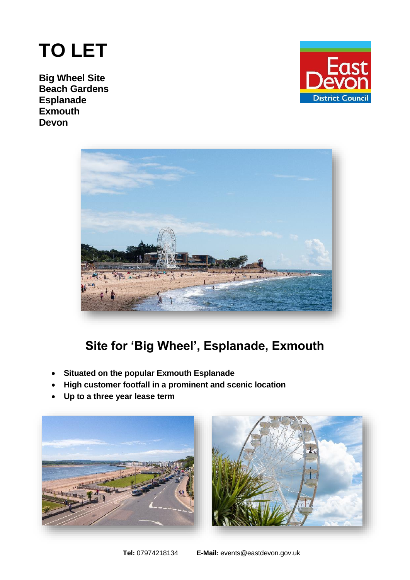# **TO LET**

**Big Wheel Site Beach Gardens Esplanade Exmouth Devon** 





# **Site for 'Big Wheel', Esplanade, Exmouth**

- **Situated on the popular Exmouth Esplanade**
- **High customer footfall in a prominent and scenic location**
- **Up to a three year lease term**